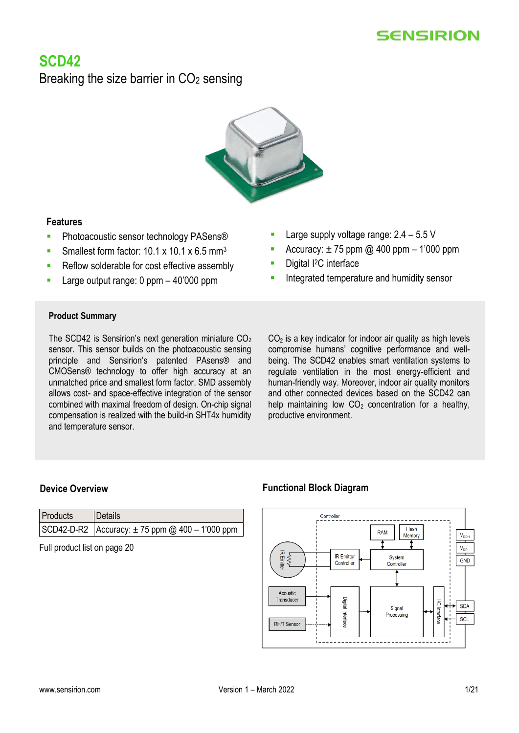# **SCD42**

Breaking the size barrier in  $CO<sub>2</sub>$  sensing



# **Features**

- **·** Photoacoustic sensor technology PASens®
- Smallest form factor:  $10.1 \times 10.1 \times 6.5$  mm<sup>3</sup>
- Reflow solderable for cost effective assembly
- Large output range:  $0$  ppm  $-$  40'000 ppm
- Large supply voltage range:  $2.4 5.5$  V
- Accuracy:  $\pm$  75 ppm @ 400 ppm 1'000 ppm
- Digital I<sup>2</sup>C interface
- Integrated temperature and humidity sensor

# **Product Summary**

The SCD42 is Sensirion's next generation miniature  $CO<sub>2</sub>$ sensor. This sensor builds on the photoacoustic sensing principle and Sensirion's patented PAsens® and CMOSens® technology to offer high accuracy at an unmatched price and smallest form factor. SMD assembly allows cost- and space-effective integration of the sensor combined with maximal freedom of design. On-chip signal compensation is realized with the build-in SHT4x humidity and temperature sensor.

 $CO<sub>2</sub>$  is a key indicator for indoor air quality as high levels compromise humans' cognitive performance and wellbeing. The SCD42 enables smart ventilation systems to regulate ventilation in the most energy-efficient and human-friendly way. Moreover, indoor air quality monitors and other connected devices based on the SCD42 can help maintaining low  $CO<sub>2</sub>$  concentration for a healthy, productive environment.

| Products | Details                                                 |
|----------|---------------------------------------------------------|
|          | $ SCD42-D-R2 $ Accuracy: $\pm 75$ ppm @ 400 - 1'000 ppm |

Full product list on page [20](#page-19-0) 

# **Device Overview <b>Functional Block Diagram**

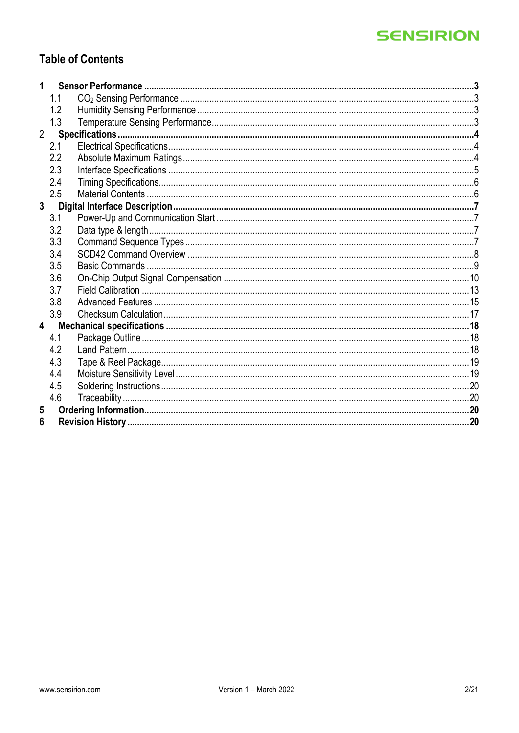# **Table of Contents**

| 1              |     |  |
|----------------|-----|--|
|                | 1.1 |  |
|                | 1.2 |  |
|                | 1.3 |  |
| $\overline{2}$ |     |  |
|                | 2.1 |  |
|                | 2.2 |  |
|                | 2.3 |  |
|                | 2.4 |  |
|                | 2.5 |  |
| $\mathbf{3}$   |     |  |
|                | 3.1 |  |
|                | 3.2 |  |
|                | 3.3 |  |
|                | 3.4 |  |
|                | 3.5 |  |
|                | 3.6 |  |
|                | 3.7 |  |
|                | 3.8 |  |
|                | 3.9 |  |
| $\overline{4}$ |     |  |
|                | 4.1 |  |
|                | 4.2 |  |
|                | 4.3 |  |
|                | 4.4 |  |
|                | 4.5 |  |
|                | 4.6 |  |
| 5              |     |  |
| 6              |     |  |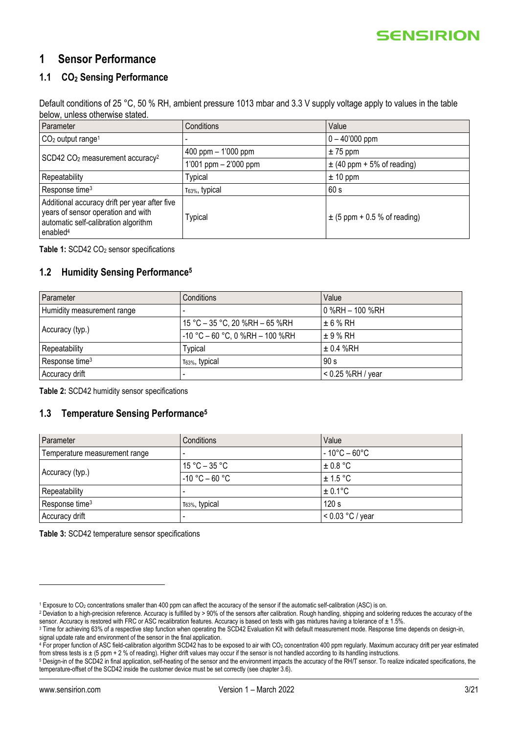# <span id="page-2-0"></span>**1 Sensor Performance**

# <span id="page-2-1"></span>**1.1 CO<sup>2</sup> Sensing Performance**

Default conditions of 25 °C, 50 % RH, ambient pressure 1013 mbar and 3.3 V supply voltage apply to values in the table below, unless otherwise stated.

| Parameter                                                                                                                                           | Conditions                 | Value                            |  |
|-----------------------------------------------------------------------------------------------------------------------------------------------------|----------------------------|----------------------------------|--|
| $CO2$ output range <sup>1</sup>                                                                                                                     |                            | $0 - 40'000$ ppm                 |  |
| SCD42 CO <sub>2</sub> measurement accuracy <sup>2</sup>                                                                                             | 400 ppm $-1'000$ ppm       | $± 75$ ppm                       |  |
|                                                                                                                                                     | 1'001 ppm $- 2'000$ ppm    | $\pm$ (40 ppm + 5% of reading)   |  |
| Repeatability                                                                                                                                       | <b>Typical</b>             | $± 10$ ppm                       |  |
| Response time <sup>3</sup>                                                                                                                          | T <sub>63%</sub> , typical | 60 s                             |  |
| Additional accuracy drift per year after five<br>years of sensor operation and with<br>automatic self-calibration algorithm<br>enabled <sup>4</sup> | Typical                    | $\pm$ (5 ppm + 0.5 % of reading) |  |

<span id="page-2-4"></span>Table 1: SCD42 CO<sub>2</sub> sensor specifications

### <span id="page-2-5"></span><span id="page-2-2"></span>**1.2 Humidity Sensing Performance<sup>5</sup>**

| Parameter                  | Conditions                        | Value               |
|----------------------------|-----------------------------------|---------------------|
| Humidity measurement range |                                   | $0$ %RH $-$ 100 %RH |
|                            | 15 °C - 35 °C, 20 %RH - 65 %RH    | $\pm 6 \%$ RH       |
| Accuracy (typ.)            | $-10$ °C – 60 °C, 0 %RH – 100 %RH | $\pm$ 9 % RH        |
| Repeatability              | <b>Typical</b>                    | $\pm$ 0.4 %RH       |
| Response time <sup>3</sup> | T63%, typical                     | 90 s                |
| Accuracy drift             |                                   | $< 0.25$ %RH / year |

**Table 2:** SCD42 humidity sensor specifications

### <span id="page-2-3"></span>**1.3 Temperature Sensing Performance[5](#page-2-5)**

| Parameter                     | Conditions                 | Value                             |
|-------------------------------|----------------------------|-----------------------------------|
| Temperature measurement range |                            | $-10^{\circ}$ C – 60 $^{\circ}$ C |
|                               | $15 °C - 35 °C$            | $\pm$ 0.8 °C                      |
| Accuracy (typ.)               | $-10 °C - 60 °C$           | $\pm$ 1.5 °C                      |
| Repeatability                 |                            | $± 0.1$ °C                        |
| Response time <sup>3</sup>    | т <sub>63%</sub> , typical | 120 s                             |
| Accuracy drift                |                            | $< 0.03$ °C / year                |

**Table 3:** SCD42 temperature sensor specifications

<sup>1</sup> Exposure to CO<sup>2</sup> concentrations smaller than 400 ppm can affect the accuracy of the sensor if the automatic self-calibration (ASC) is on.

<sup>&</sup>lt;sup>2</sup> Deviation to a high-precision reference. Accuracy is fulfilled by > 90% of the sensors after calibration. Rough handling, shipping and soldering reduces the accuracy of the sensor. Accuracy is restored with FRC or ASC recalibration features. Accuracy is based on tests with gas mixtures having a tolerance of  $\pm$  1.5%.

<sup>&</sup>lt;sup>3</sup> Time for achieving 63% of a respective step function when operating the SCD42 Evaluation Kit with default measurement mode. Response time depends on design-in, signal update rate and environment of the sensor in the final application.

<sup>4</sup> For proper function of ASC field-calibration algorithm SCD42 has to be exposed to air with CO<sup>2</sup> concentration 400 ppm regularly. Maximum accuracy drift per year estimated from stress tests is ± (5 ppm + 2 % of reading). Higher drift values may occur if the sensor is not handled according to its handling instructions.

<sup>5</sup> Design-in of the SCD42 in final application, self-heating of the sensor and the environment impacts the accuracy of the RH/T sensor. To realize indicated specifications, the temperature-offset of the SCD42 inside the customer device must be set correctly (see chapter [3.6\)](#page-9-0).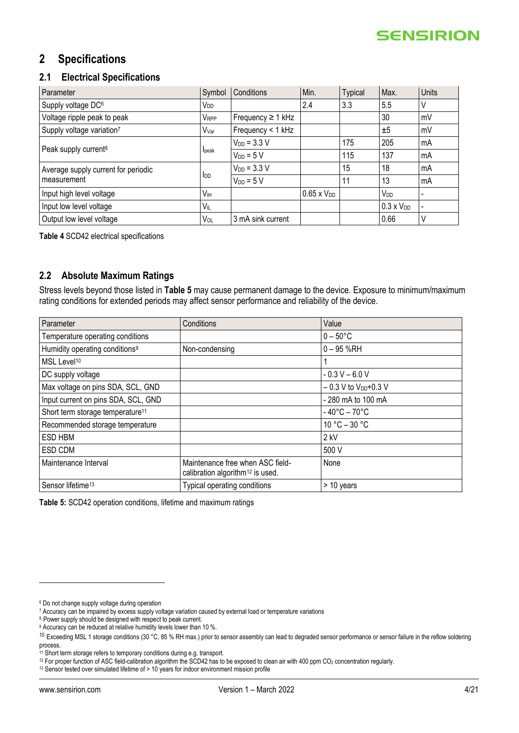# <span id="page-3-0"></span>**2 Specifications**

### <span id="page-3-1"></span>**2.1 Electrical Specifications**

| Parameter                           | Symbol          | Conditions             | Min.                 | <b>Typical</b> | Max.                | Units |
|-------------------------------------|-----------------|------------------------|----------------------|----------------|---------------------|-------|
| Supply voltage DC <sup>6</sup>      | V <sub>DD</sub> |                        | 2.4                  | 3.3            | 5.5                 | V     |
| Voltage ripple peak to peak         | <b>VRPP</b>     | Frequency $\geq 1$ kHz |                      |                | 30                  | mV    |
| Supply voltage variation7           | Vvar            | Frequency < 1 kHz      |                      |                | ±5                  | mV    |
|                                     |                 | $V_{DD} = 3.3 V$       |                      | 175            | 205                 | mA    |
| Peak supply current <sup>8</sup>    | Ipeak           | $V_{DD} = 5 V$         |                      | 115            | 137                 | mA    |
| Average supply current for periodic |                 | $V_{DD} = 3.3 V$       |                      | 15             | 18                  | mA    |
| measurement                         | <b>I</b> DD     | $V_{DD} = 5 V$         |                      | 11             | 13                  | mA    |
| Input high level voltage            | V <sub>IH</sub> |                        | $0.65 \times V_{DD}$ |                | V <sub>DD</sub>     |       |
| Input low level voltage             | VIL             |                        |                      |                | $0.3 \times V_{DD}$ |       |
| Output low level voltage            | Vol             | 3 mA sink current      |                      |                | 0.66                | V     |

<span id="page-3-4"></span>**Table 4** SCD42 electrical specifications

### <span id="page-3-2"></span>**2.2 Absolute Maximum Ratings**

Stress levels beyond those listed in **[Table 5](#page-3-3)** may cause permanent damage to the device. Exposure to minimum/maximum rating conditions for extended periods may affect sensor performance and reliability of the device.

| Parameter                                    | Conditions                                                                       | Value                             |
|----------------------------------------------|----------------------------------------------------------------------------------|-----------------------------------|
| Temperature operating conditions             |                                                                                  | $0 - 50^{\circ}$ C                |
| Humidity operating conditions <sup>9</sup>   | Non-condensing                                                                   | $0 - 95$ %RH                      |
| MSL Level <sup>10</sup>                      |                                                                                  |                                   |
| DC supply voltage                            |                                                                                  | $-0.3 V - 6.0 V$                  |
| Max voltage on pins SDA, SCL, GND            |                                                                                  | $-0.3$ V to $V_{DD}+0.3$ V        |
| Input current on pins SDA, SCL, GND          |                                                                                  | - 280 mA to 100 mA                |
| Short term storage temperature <sup>11</sup> |                                                                                  | $-40^{\circ}$ C – 70 $^{\circ}$ C |
| Recommended storage temperature              |                                                                                  | $10 °C - 30 °C$                   |
| ESD HBM                                      |                                                                                  | 2 kV                              |
| ESD CDM                                      |                                                                                  | 500 V                             |
| Maintenance Interval                         | Maintenance free when ASC field-<br>calibration algorithm <sup>12</sup> is used. | None                              |
| Sensor lifetime <sup>13</sup>                | <b>Typical operating conditions</b>                                              | $>$ 10 years                      |

<span id="page-3-3"></span>**Table 5:** SCD42 operation conditions, lifetime and maximum ratings

<sup>6</sup> Do not change supply voltage during operation

<sup>7</sup> Accuracy can be impaired by excess supply voltage variation caused by external load or temperature variations

<sup>8</sup> Power supply should be designed with respect to peak current.

<sup>&</sup>lt;sup>9</sup> Accuracy can be reduced at relative humidity levels lower than 10 %.

 $10$  Exceeding MSL 1 storage conditions (30 °C, 85 % RH max.) prior to sensor assembly can lead to degraded sensor performance or sensor failure in the reflow soldering process.

<sup>11</sup> Short term storage refers to temporary conditions during e.g. transport.

<sup>&</sup>lt;sup>12</sup> For proper function of ASC field-calibration algorithm the SCD42 has to be exposed to clean air with 400 ppm CO<sub>2</sub> concentration regularly.

<sup>&</sup>lt;sup>13</sup> Sensor tested over simulated lifetime of > 10 years for indoor environment mission profile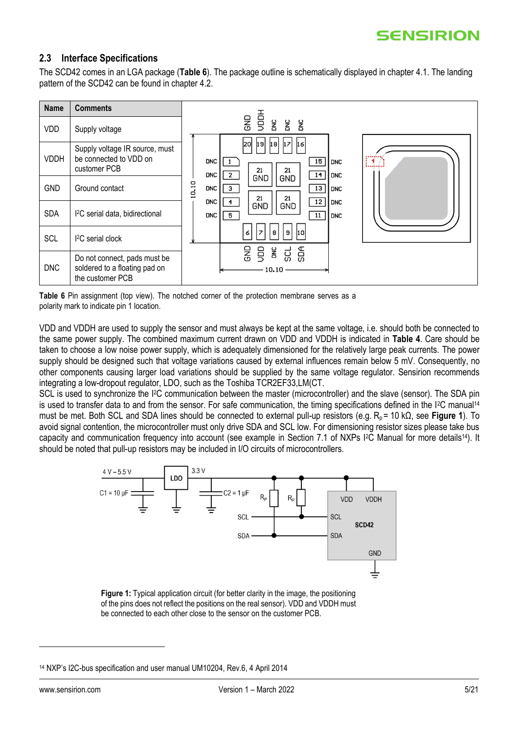### <span id="page-4-0"></span>**2.3 Interface Specifications**

The SCD42 comes in an LGA package (**[Table 6](#page-4-1)**). The package outline is schematically displayed in chapter [4.1.](#page-17-1) The landing pattern of the SCD42 can be found in chapter [4.2.](#page-17-2)



<span id="page-4-1"></span>**Table 6** Pin assignment (top view). The notched corner of the protection membrane serves as a polarity mark to indicate pin 1 location.

VDD and VDDH are used to supply the sensor and must always be kept at the same voltage, i.e. should both be connected to the same power supply. The combined maximum current drawn on VDD and VDDH is indicated in **[Table 4](#page-3-4)**. Care should be taken to choose a low noise power supply, which is adequately dimensioned for the relatively large peak currents. The power supply should be designed such that voltage variations caused by external influences remain below 5 mV. Consequently, no other components causing larger load variations should be supplied by the same voltage regulator. Sensirion recommends integrating a low-dropout regulator, LDO, such as the Toshiba TCR2EF33,LM(CT.

SCL is used to synchronize the I<sup>2</sup>C communication between the master (microcontroller) and the slave (sensor). The SDA pin is used to transfer data to and from the sensor. For safe communication, the timing specifications defined in the I<sup>2</sup>C manual<sup>14</sup> must be met. Both SCL and SDA lines should be connected to external pull-up resistors (e.g. R<sub>p</sub> = 10 kΩ, see **[Figure 1](#page-4-2)**). To avoid signal contention, the microcontroller must only drive SDA and SCL low. For dimensioning resistor sizes please take bus capacity and communication frequency into account (see example in Section 7.1 of NXPs I2C Manual for more details[14](#page-4-3)). It should be noted that pull-up resistors may be included in I/O circuits of microcontrollers.

<span id="page-4-3"></span>

<span id="page-4-2"></span>**Figure 1:** Typical application circuit (for better clarity in the image, the positioning of the pins does not reflect the positions on the real sensor). VDD and VDDH must be connected to each other close to the sensor on the customer PCB.

<sup>14</sup> NXP's I2C-bus specification and user manual UM10204, Rev.6, 4 April 2014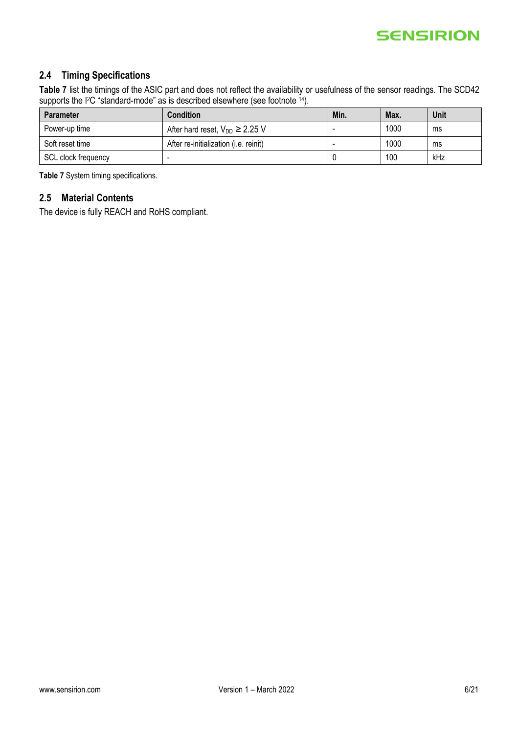# <span id="page-5-0"></span>**2.4 Timing Specifications**

**[Table 7](#page-5-2)** list the timings of the ASIC part and does not reflect the availability or usefulness of the sensor readings. The SCD42 supports the I<sup>2</sup>C "standard-mode" as is described elsewhere (see footnote <sup>[14](#page-4-3)</sup>).

| <b>Parameter</b>    | <b>Condition</b>                              | Min. | Max. | <b>Unit</b> |
|---------------------|-----------------------------------------------|------|------|-------------|
| Power-up time       | After hard reset, $V_{DD} \geq 2.25$ V        |      | 1000 | ms          |
| Soft reset time     | After re-initialization ( <i>i.e.</i> reinit) |      | 1000 | ms          |
| SCL clock frequency |                                               |      | 100  | kHz         |

<span id="page-5-2"></span>**Table 7** System timing specifications.

# <span id="page-5-1"></span>**2.5 Material Contents**

The device is fully REACH and RoHS compliant.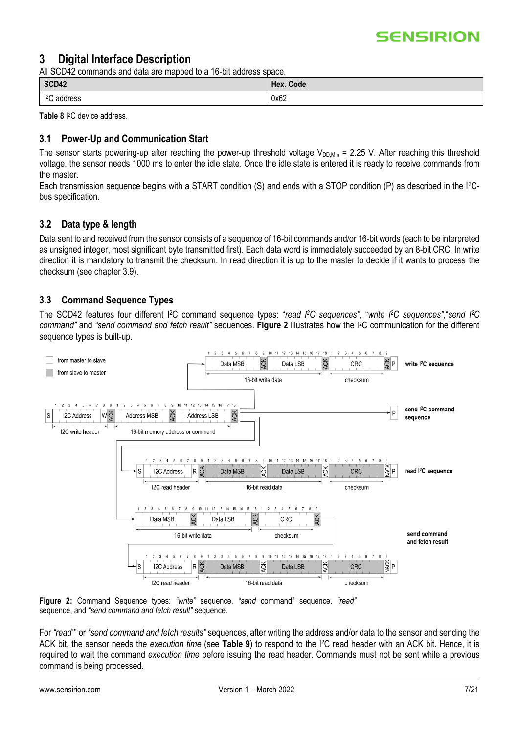# <span id="page-6-0"></span>**3 Digital Interface Description**

All SCD42 commands and data are mapped to a 16-bit address space.

| SCD42            | Hex. Code |
|------------------|-----------|
| 12C<br>; address | 0x62      |

**Table 8** I <sup>2</sup>C device address.

### <span id="page-6-1"></span>**3.1 Power-Up and Communication Start**

The sensor starts powering-up after reaching the power-up threshold voltage  $V_{DD,Min}$  = 2.25 V. After reaching this threshold voltage, the sensor needs 1000 ms to enter the idle state. Once the idle state is entered it is ready to receive commands from the master.

Each transmission sequence begins with a START condition (S) and ends with a STOP condition (P) as described in the I2Cbus specification.

# <span id="page-6-2"></span>**3.2 Data type & length**

Data sent to and received from the sensor consists of a sequence of 16-bit commands and/or 16-bit words (each to be interpreted as unsigned integer, most significant byte transmitted first). Each data word is immediately succeeded by an 8-bit CRC. In write direction it is mandatory to transmit the checksum. In read direction it is up to the master to decide if it wants to process the checksum (see chapter [3.9\)](#page-16-0).

### <span id="page-6-3"></span>**3.3 Command Sequence Types**

The SCD42 features four different I<sup>2</sup>C command sequence types: "read I<sup>2</sup>C sequences", "write I<sup>2</sup>C sequences", "send I<sup>2</sup>C *command"* and *"send command and fetch result"* sequences. **[Figure 2](#page-6-4)** illustrates how the I2C communication for the different sequence types is built-up.



<span id="page-6-4"></span>

For *"read"*" or *"send command and fetch results"* sequences, after writing the address and/or data to the sensor and sending the ACK bit, the sensor needs the *execution time* (see **[Table 9](#page-7-1)**) to respond to the I2C read header with an ACK bit. Hence, it is required to wait the command *execution time* before issuing the read header. Commands must not be sent while a previous command is being processed.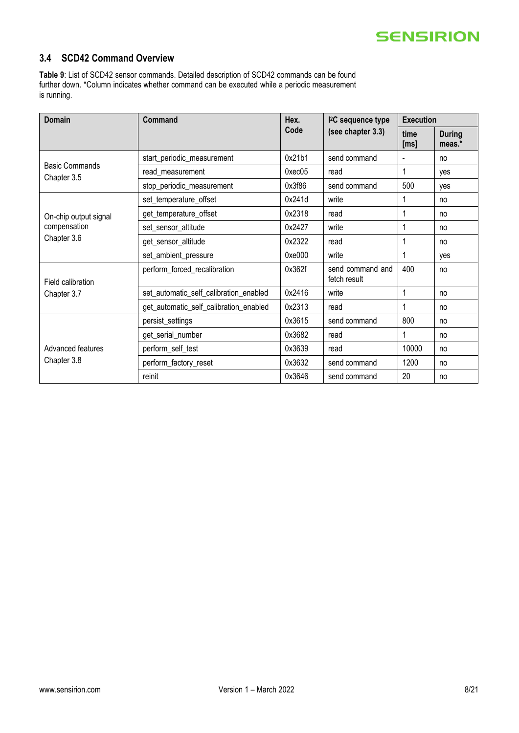### <span id="page-7-0"></span>**3.4 SCD42 Command Overview**

<span id="page-7-1"></span>**Table 9**: List of SCD42 sensor commands. Detailed description of SCD42 commands can be found further down. \*Column indicates whether command can be executed while a periodic measurement is running.

| Domain                               | Command                                | Hex.                                                                                                                                                                                 | <sup>2</sup> C sequence type | <b>Execution</b> |                         |
|--------------------------------------|----------------------------------------|--------------------------------------------------------------------------------------------------------------------------------------------------------------------------------------|------------------------------|------------------|-------------------------|
|                                      |                                        | Code<br>0x21b1<br>0xec05<br>read<br>0x3f86<br>0x241d<br>write<br>0x2318<br>read<br>0x2427<br>write<br>0x2322<br>read<br>0xe000<br>write<br>0x362f<br>fetch result<br>0x2416<br>write | (see chapter 3.3)            | time<br>[ms]     | <b>During</b><br>meas.* |
|                                      | start_periodic_measurement             |                                                                                                                                                                                      | send command                 |                  | no                      |
| <b>Basic Commands</b><br>Chapter 3.5 | read_measurement                       |                                                                                                                                                                                      |                              | 1                | yes                     |
|                                      | stop_periodic_measurement              |                                                                                                                                                                                      | send command                 | 500              | yes                     |
|                                      | set_temperature_offset                 |                                                                                                                                                                                      |                              | 1                | no                      |
| On-chip output signal                | get_temperature_offset                 |                                                                                                                                                                                      |                              | 1                | no                      |
| compensation                         | set_sensor_altitude                    |                                                                                                                                                                                      |                              | 1                | no                      |
| Chapter 3.6                          | get_sensor_altitude                    |                                                                                                                                                                                      |                              | 1                | no                      |
|                                      | set_ambient_pressure                   |                                                                                                                                                                                      |                              | 1                | yes                     |
| Field calibration                    | perform_forced_recalibration           |                                                                                                                                                                                      | send command and             | 400              | no                      |
| Chapter 3.7                          | set_automatic_self_calibration_enabled |                                                                                                                                                                                      |                              | 1                | no                      |
|                                      | get_automatic_self_calibration_enabled | 0x2313                                                                                                                                                                               | read                         | 1                | no                      |
|                                      | persist_settings                       | 0x3615                                                                                                                                                                               | send command                 | 800              | no                      |
|                                      | get_serial_number                      | 0x3682                                                                                                                                                                               | read                         | 1                | no                      |
| Advanced features                    | perform_self_test                      | 0x3639                                                                                                                                                                               | read                         | 10000            | no                      |
| Chapter 3.8                          | perform_factory_reset                  | 0x3632                                                                                                                                                                               | send command                 | 1200             | no                      |
|                                      | reinit                                 | 0x3646                                                                                                                                                                               | send command                 | 20               | no                      |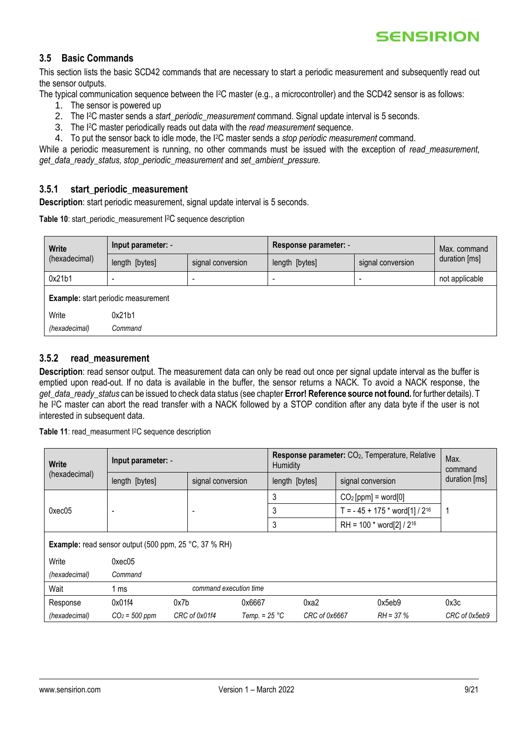#### <span id="page-8-0"></span>**3.5 Basic Commands**

This section lists the basic SCD42 commands that are necessary to start a periodic measurement and subsequently read out the sensor outputs.

The typical communication sequence between the I2C master (e.g., a microcontroller) and the SCD42 sensor is as follows:

- 1. The sensor is powered up
- 2. The I <sup>2</sup>C master sends a *start\_periodic\_measurement* command. Signal update interval is 5 seconds.
- 3. The I2C master periodically reads out data with the *read measurement* sequence.
- 4. To put the sensor back to idle mode, the I2C master sends a *stop periodic measurement* command.

While a periodic measurement is running, no other commands must be issued with the exception of *read\_measurement*, *get\_data\_ready\_status, stop\_periodic\_measurement* and *set\_ambient\_pressure.*

#### **3.5.1 start\_periodic\_measurement**

**Description**: start periodic measurement, signal update interval is 5 seconds.

**Table 10**: start\_periodic\_measurement I <sup>2</sup>C sequence description

| <b>Write</b>    | Input parameter: -                         |                   | Response parameter: - | Max. command             |                |
|-----------------|--------------------------------------------|-------------------|-----------------------|--------------------------|----------------|
| (hexadecimal)   | length [bytes]                             | signal conversion | length [bytes]        | signal conversion        | duration [ms]  |
| 0x21b1          |                                            |                   |                       | $\overline{\phantom{a}}$ | not applicable |
|                 | <b>Example:</b> start periodic measurement |                   |                       |                          |                |
| Write<br>0x21b1 |                                            |                   |                       |                          |                |
| (hexadecimal)   | Command                                    |                   |                       |                          |                |

### **3.5.2 read\_measurement**

**Description**: read sensor output. The measurement data can only be read out once per signal update interval as the buffer is emptied upon read-out. If no data is available in the buffer, the sensor returns a NACK. To avoid a NACK response, the *get\_data\_ready\_status* can be issued to check data status (see chapter **Error! Reference source not found.** for further details). T he I2C master can abort the read transfer with a NACK followed by a STOP condition after any data byte if the user is not interested in subsequent data.

**Table 11**: read\_measurment I2C sequence description

| Write           | Input parameter: -                                                         |                                                              |                 | Response parameter: CO <sub>2</sub> , Temperature, Relative<br>Humidity |      |                               |                                             | Max.<br>command |
|-----------------|----------------------------------------------------------------------------|--------------------------------------------------------------|-----------------|-------------------------------------------------------------------------|------|-------------------------------|---------------------------------------------|-----------------|
| (hexadecimal)   | signal conversion<br>length [bytes]<br>signal conversion<br>length [bytes] |                                                              |                 |                                                                         |      | duration [ms]                 |                                             |                 |
|                 |                                                                            |                                                              |                 | 3                                                                       |      | $CO2[ppm] = word[0]$          |                                             |                 |
| $0 \times 0.05$ | $\overline{\phantom{0}}$                                                   | $\overline{\phantom{0}}$                                     |                 | 3                                                                       |      |                               | T = $-45 + 175$ * word[1] / 2 <sup>16</sup> |                 |
|                 |                                                                            |                                                              |                 | 3                                                                       |      | RH = 100 * word[2] / $2^{16}$ |                                             |                 |
|                 |                                                                            | <b>Example:</b> read sensor output (500 ppm, 25 °C, 37 % RH) |                 |                                                                         |      |                               |                                             |                 |
| Write           | $0 \times 0.05$                                                            |                                                              |                 |                                                                         |      |                               |                                             |                 |
| (hexadecimal)   | Command                                                                    |                                                              |                 |                                                                         |      |                               |                                             |                 |
| Wait            | 1 ms                                                                       | command execution time                                       |                 |                                                                         |      |                               |                                             |                 |
| Response        | 0x01f4                                                                     | 0x7b                                                         | 0x6667          |                                                                         | 0xa2 |                               | 0x5eb9                                      | 0x3c            |
| (hexadecimal)   | $CO2 = 500$ ppm<br>CRC of 0x01f4                                           |                                                              | Temp. $= 25 °C$ | CRC of 0x6667<br>$RH = 37\%$                                            |      |                               | CRC of 0x5eb9                               |                 |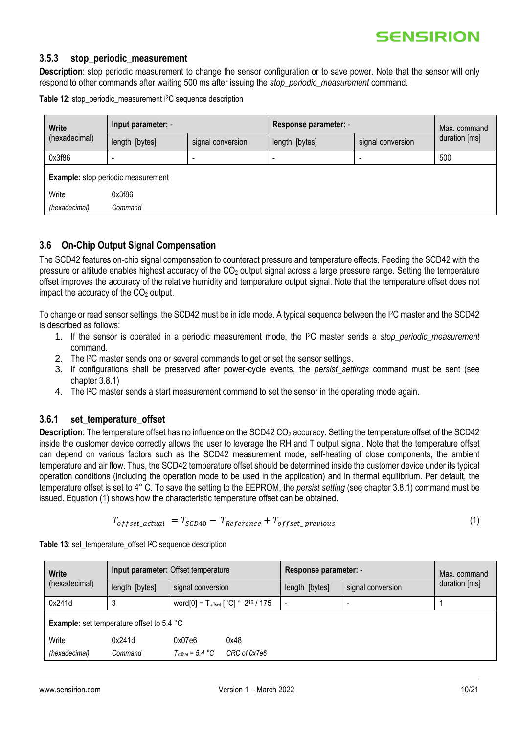#### **3.5.3 stop\_periodic\_measurement**

**Description**: stop periodic measurement to change the sensor configuration or to save power. Note that the sensor will only respond to other commands after waiting 500 ms after issuing the *stop\_periodic\_measurement* command.

**Table 12**: stop\_periodic\_measurement I2C sequence description

| <b>Write</b><br>(hexadecimal) | Input parameter: -                 |                   | Response parameter: - | Max. command      |               |
|-------------------------------|------------------------------------|-------------------|-----------------------|-------------------|---------------|
|                               | length [bytes]                     | signal conversion | length [bytes]        | signal conversion | duration [ms] |
| 0x3f86                        |                                    | -                 |                       |                   | 500           |
|                               | Example: stop periodic measurement |                   |                       |                   |               |
| Write                         | 0x3f86                             |                   |                       |                   |               |
| (hexadecimal)                 | Command                            |                   |                       |                   |               |

### <span id="page-9-0"></span>**3.6 On-Chip Output Signal Compensation**

The SCD42 features on-chip signal compensation to counteract pressure and temperature effects. Feeding the SCD42 with the pressure or altitude enables highest accuracy of the CO<sup>2</sup> output signal across a large pressure range. Setting the temperature offset improves the accuracy of the relative humidity and temperature output signal. Note that the temperature offset does not impact the accuracy of the  $CO<sub>2</sub>$  output.

To change or read sensor settings, the SCD42 must be in idle mode. A typical sequence between the I2C master and the SCD42 is described as follows:

- 1. If the sensor is operated in a periodic measurement mode, the I2C master sends a *stop\_periodic\_measurement*  command.
- 2. The I<sup>2</sup>C master sends one or several commands to get or set the sensor settings.
- 3. If configurations shall be preserved after power-cycle events, the *persist\_settings* command must be sent (see chapter [3.8.1\)](#page-14-1)
- 4. The I2C master sends a start measurement command to set the sensor in the operating mode again.

### **3.6.1 set\_temperature\_offset**

**Description**: The temperature offset has no influence on the SCD42 CO<sub>2</sub> accuracy. Setting the temperature offset of the SCD42 inside the customer device correctly allows the user to leverage the RH and T output signal. Note that the temperature offset can depend on various factors such as the SCD42 measurement mode, self-heating of close components, the ambient temperature and air flow. Thus, the SCD42 temperature offset should be determined inside the customer device under its typical operation conditions (including the operation mode to be used in the application) and in thermal equilibrium. Per default, the temperature offset is set to 4° C. To save the setting to the EEPROM, the *persist setting* (see chapte[r 3.8.1\)](#page-14-1) command must be issued. Equation (1) shows how the characteristic temperature offset can be obtained.

$$
T_{offset\_actual} = T_{SCD40} - T_{Reference} + T_{offset\_previous}
$$
\n(1)

| Write<br>(hexadecimal) | Input parameter: Offset temperature              |                                                     | Response parameter: - | Max. command             |                   |               |
|------------------------|--------------------------------------------------|-----------------------------------------------------|-----------------------|--------------------------|-------------------|---------------|
|                        | length [bytes]                                   | signal conversion                                   |                       | length [bytes]           | signal conversion | duration [ms] |
| 0x241d                 |                                                  | word[0] = $T_{offset}$ [°C] * 2 <sup>16</sup> / 175 |                       | $\overline{\phantom{0}}$ | -                 |               |
|                        | <b>Example:</b> set temperature offset to 5.4 °C |                                                     |                       |                          |                   |               |
| Write                  | 0x241d                                           | 0x07e6                                              | 0x48                  |                          |                   |               |
| (hexadecimal)          | Command                                          | $T_{offset} = 5.4 °C$                               | CRC of 0x7e6          |                          |                   |               |

**Table 13:** set temperature offset I<sup>2</sup>C sequence description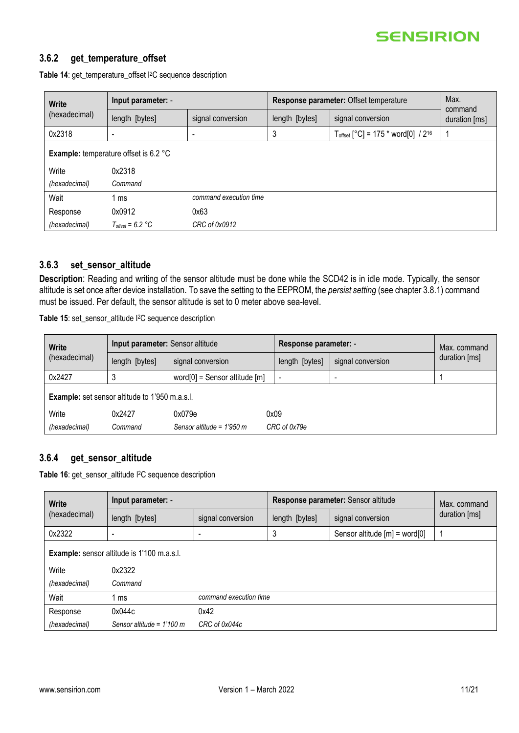

### **3.6.2 get\_temperature\_offset**

| <b>Write</b><br>(hexadecimal) | Input parameter: -                           |                        | Response parameter: Offset temperature | Max.<br>command                                     |               |
|-------------------------------|----------------------------------------------|------------------------|----------------------------------------|-----------------------------------------------------|---------------|
|                               | length [bytes]                               | signal conversion      | length [bytes]                         | signal conversion                                   | duration [ms] |
| 0x2318                        |                                              |                        | 3                                      | $T_{offset}$ [°C] = 175 * word[0] / 2 <sup>16</sup> |               |
|                               | <b>Example:</b> temperature offset is 6.2 °C |                        |                                        |                                                     |               |
| Write                         | 0x2318                                       |                        |                                        |                                                     |               |
| (hexadecimal)                 | Command                                      |                        |                                        |                                                     |               |
| Wait                          | ms                                           | command execution time |                                        |                                                     |               |
| Response                      | 0x0912                                       | 0x63                   |                                        |                                                     |               |
| (hexadecimal)                 | $T_{offset} = 6.2 °C$                        | CRC of 0x0912          |                                        |                                                     |               |

Table 14: get temperature offset I<sup>2</sup>C sequence description

### **3.6.3 set\_sensor\_altitude**

**Description**: Reading and writing of the sensor altitude must be done while the SCD42 is in idle mode. Typically, the sensor altitude is set once after device installation. To save the setting to the EEPROM, the *persist setting* (see chapte[r 3.8.1\)](#page-14-1) command must be issued. Per default, the sensor altitude is set to 0 meter above sea-level.

**Table 15**: set\_sensor\_altitude I2C sequence description

| Write<br>(hexadecimal) | Input parameter: Sensor altitude                      |                                    |                | Response parameter: - |               |
|------------------------|-------------------------------------------------------|------------------------------------|----------------|-----------------------|---------------|
|                        | length [bytes]                                        | signal conversion                  | length [bytes] | signal conversion     | duration [ms] |
| 0x2427                 |                                                       | word $[0]$ = Sensor altitude $[m]$ |                |                       |               |
|                        | <b>Example:</b> set sensor altitude to 1'950 m.a.s.l. |                                    |                |                       |               |
| Write                  | 0x2427                                                | 0x079e<br>0x09                     |                |                       |               |
| (hexadecimal)          | Command                                               | Sensor altitude = $1'950$ m        | CRC of 0x79e   |                       |               |

### **3.6.4 get\_sensor\_altitude**

**Table 16**: get\_sensor\_altitude I2C sequence description

| <b>Write</b><br>(hexadecimal) | Input parameter: -                                |                        |                | Response parameter: Sensor altitude |               |  |
|-------------------------------|---------------------------------------------------|------------------------|----------------|-------------------------------------|---------------|--|
|                               | length [bytes]                                    | signal conversion      | length [bytes] | signal conversion                   | duration [ms] |  |
| 0x2322                        | $\overline{\phantom{a}}$                          |                        | 3              | Sensor altitude $[m] = word[0]$     | 1             |  |
|                               | <b>Example:</b> sensor altitude is 1'100 m.a.s.l. |                        |                |                                     |               |  |
| Write                         | 0x2322                                            |                        |                |                                     |               |  |
| (hexadecimal)                 | Command                                           |                        |                |                                     |               |  |
| Wait                          | l ms                                              | command execution time |                |                                     |               |  |
| Response                      | 0x044c                                            | 0x42                   |                |                                     |               |  |
| (hexadecimal)                 | Sensor altitude = $1'100$ m                       | CRC of 0x044c          |                |                                     |               |  |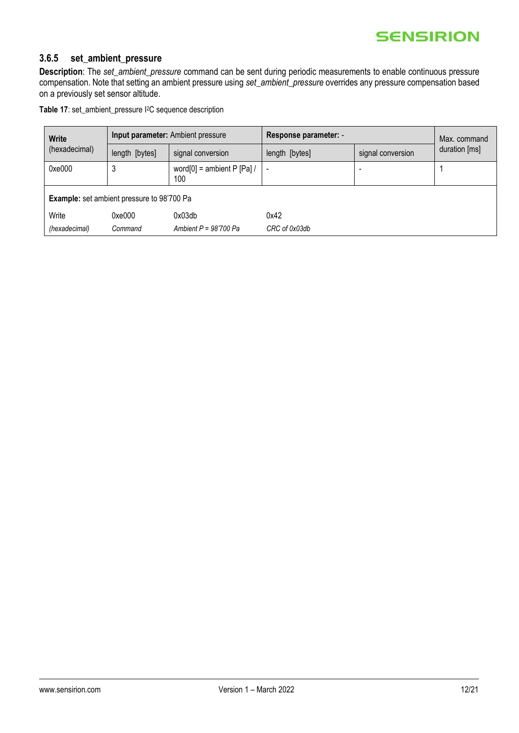# **3.6.5 set\_ambient\_pressure**

**Description**: The *set\_ambient\_pressure* command can be sent during periodic measurements to enable continuous pressure compensation. Note that setting an ambient pressure using *set\_ambient\_pressure* overrides any pressure compensation based on a previously set sensor altitude.

|  |  |  |  | Table 17: set_ambient_pressure I <sup>2</sup> C sequence description |
|--|--|--|--|----------------------------------------------------------------------|
|--|--|--|--|----------------------------------------------------------------------|

| <b>Write</b><br>(hexadecimal) | Input parameter: Ambient pressure                 |                                        | Response parameter: - | Max. command      |               |
|-------------------------------|---------------------------------------------------|----------------------------------------|-----------------------|-------------------|---------------|
|                               | length [bytes]                                    | signal conversion                      | length [bytes]        | signal conversion | duration [ms] |
| 0xe000                        | J                                                 | word $[0]$ = ambient P $[Pa]$ /<br>100 |                       |                   |               |
|                               | <b>Example:</b> set ambient pressure to 98'700 Pa |                                        |                       |                   |               |
| Write                         | 0xe000                                            | 0x03db                                 | 0x42                  |                   |               |
| (hexadecimal)                 | Command                                           | Ambient $P = 98'700$ Pa                | CRC of 0x03db         |                   |               |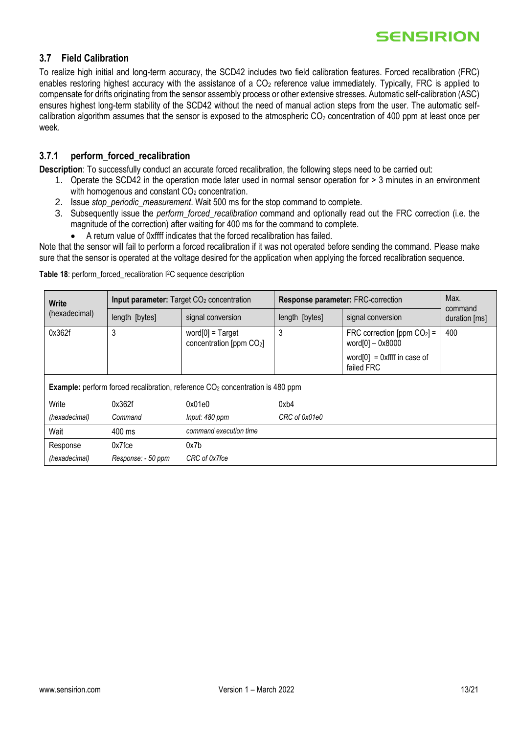### <span id="page-12-0"></span>**3.7 Field Calibration**

To realize high initial and long-term accuracy, the SCD42 includes two field calibration features. Forced recalibration (FRC) enables restoring highest accuracy with the assistance of a  $CO<sub>2</sub>$  reference value immediately. Typically, FRC is applied to compensate for drifts originating from the sensor assembly process or other extensive stresses. Automatic self-calibration (ASC) ensures highest long-term stability of the SCD42 without the need of manual action steps from the user. The automatic selfcalibration algorithm assumes that the sensor is exposed to the atmospheric  $CO<sub>2</sub>$  concentration of 400 ppm at least once per week.

### **3.7.1 perform\_forced\_recalibration**

**Description**: To successfully conduct an accurate forced recalibration, the following steps need to be carried out:

- 1. Operate the SCD42 in the operation mode later used in normal sensor operation for > 3 minutes in an environment with homogenous and constant  $CO<sub>2</sub>$  concentration.
- 2. Issue *stop\_periodic\_measurement*. Wait 500 ms for the stop command to complete.
- 3. Subsequently issue the *perform\_forced\_recalibration* command and optionally read out the FRC correction (i.e. the magnitude of the correction) after waiting for 400 ms for the command to complete.
	- A return value of 0xffff indicates that the forced recalibration has failed.

Note that the sensor will fail to perform a forced recalibration if it was not operated before sending the command. Please make sure that the sensor is operated at the voltage desired for the application when applying the forced recalibration sequence.

| <b>Write</b>  |                    | Input parameter: Target CO <sub>2</sub> concentration                                            |                | Response parameter: FRC-correction                |                          |  |
|---------------|--------------------|--------------------------------------------------------------------------------------------------|----------------|---------------------------------------------------|--------------------------|--|
| (hexadecimal) | length [bytes]     | signal conversion                                                                                | length [bytes] | signal conversion                                 | command<br>duration [ms] |  |
| 0x362f        | 3                  | $word[0] = Target$<br>concentration [ppm CO2]                                                    | 3              | FRC correction [ppm $CO2$ ] =<br>word[0] - 0x8000 | 400                      |  |
|               |                    |                                                                                                  |                | word $[0] = 0$ xffff in case of<br>failed FRC     |                          |  |
|               |                    | <b>Example:</b> perform forced recalibration, reference CO <sub>2</sub> concentration is 480 ppm |                |                                                   |                          |  |
| Write         | 0x362f             | 0x01e0                                                                                           | 0xb4           |                                                   |                          |  |
| (hexadecimal) | Command            | Input: 480 ppm                                                                                   | CRC of 0x01e0  |                                                   |                          |  |
| Wait          | 400 ms             | command execution time                                                                           |                |                                                   |                          |  |
| Response      | $0x7$ fce          | 0x7b                                                                                             |                |                                                   |                          |  |
| (hexadecimal) | Response: - 50 ppm | CRC of 0x7fce                                                                                    |                |                                                   |                          |  |

**Table 18**: perform\_forced\_recalibration I2C sequence description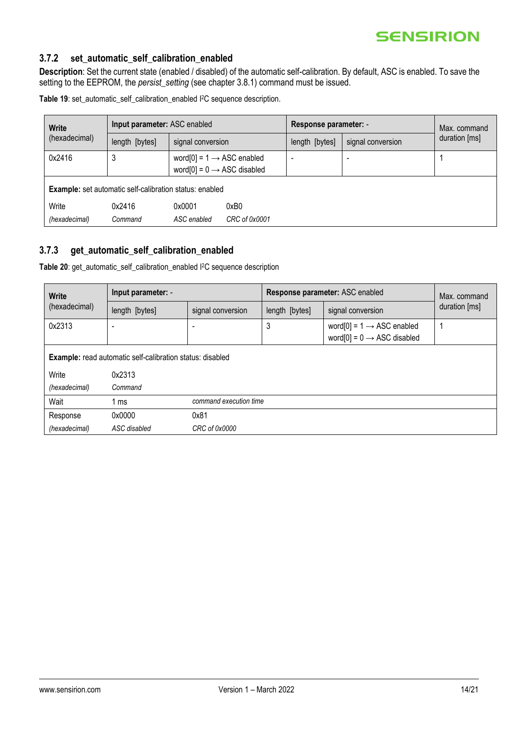# **3.7.2 set\_automatic\_self\_calibration\_enabled**

**Description**: Set the current state (enabled / disabled) of the automatic self-calibration. By default, ASC is enabled. To save the setting to the EEPROM, the *persist\_setting* (see chapter [3.8.1\)](#page-14-1) command must be issued.

**Table 19**: set\_automatic\_self\_calibration\_enabled I <sup>2</sup>C sequence description.

| <b>Write</b><br>(hexadecimal) | Input parameter: ASC enabled                                   |                                                                                 | Response parameter: - | Max. command   |                   |               |
|-------------------------------|----------------------------------------------------------------|---------------------------------------------------------------------------------|-----------------------|----------------|-------------------|---------------|
|                               | length [bytes]                                                 | signal conversion                                                               |                       | length [bytes] | signal conversion | duration [ms] |
| 0x2416                        | 3                                                              | word[0] = $1 \rightarrow$ ASC enabled<br>word[0] = $0 \rightarrow$ ASC disabled |                       |                |                   |               |
|                               | <b>Example:</b> set automatic self-calibration status: enabled |                                                                                 |                       |                |                   |               |
| Write                         | 0x2416                                                         | 0x0001                                                                          | 0xB0                  |                |                   |               |
| (hexadecimal)                 | Command                                                        | ASC enabled                                                                     | CRC of 0x0001         |                |                   |               |

#### **3.7.3 get\_automatic\_self\_calibration\_enabled**

**Table 20**: get\_automatic\_self\_calibration\_enabled I2C sequence description

<span id="page-13-0"></span>

| <b>Write</b><br>(hexadecimal) | Input parameter: -                                               |                        |                | Response parameter: ASC enabled                                                 |               |  |
|-------------------------------|------------------------------------------------------------------|------------------------|----------------|---------------------------------------------------------------------------------|---------------|--|
|                               | length [bytes]                                                   | signal conversion      | length [bytes] | signal conversion                                                               | duration [ms] |  |
| 0x2313                        | $\overline{\phantom{a}}$                                         |                        | 3              | word[0] = $1 \rightarrow$ ASC enabled<br>word[0] = $0 \rightarrow$ ASC disabled |               |  |
|                               | <b>Example:</b> read automatic self-calibration status: disabled |                        |                |                                                                                 |               |  |
| Write                         | 0x2313                                                           |                        |                |                                                                                 |               |  |
| (hexadecimal)                 | Command                                                          |                        |                |                                                                                 |               |  |
| Wait                          | 1 ms                                                             | command execution time |                |                                                                                 |               |  |
| Response                      | 0x0000                                                           | 0x81                   |                |                                                                                 |               |  |
| (hexadecimal)                 | ASC disabled                                                     | CRC of 0x0000          |                |                                                                                 |               |  |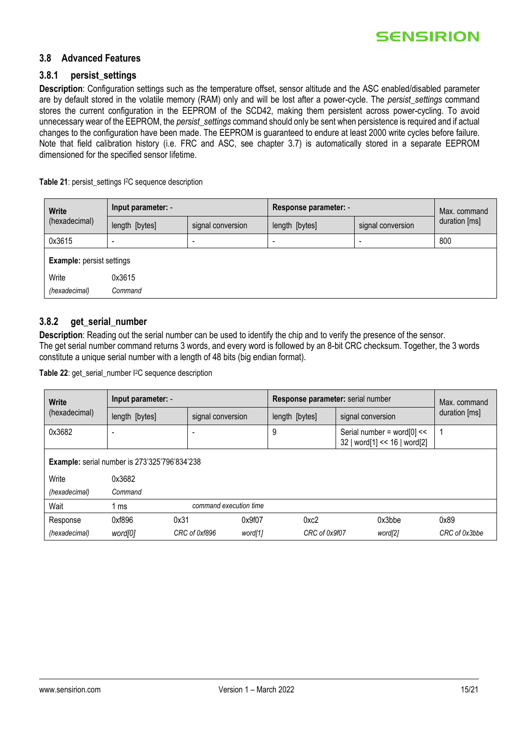

### <span id="page-14-0"></span>**3.8 Advanced Features**

#### <span id="page-14-1"></span>**3.8.1 persist\_settings**

**Description**: Configuration settings such as the temperature offset, sensor altitude and the ASC enabled/disabled parameter are by default stored in the volatile memory (RAM) only and will be lost after a power-cycle. The *persist* settings command stores the current configuration in the EEPROM of the SCD42, making them persistent across power-cycling. To avoid unnecessary wear of the EEPROM, the *persist\_settings* command should only be sent when persistence is required and if actual changes to the configuration have been made. The EEPROM is guaranteed to endure at least 2000 write cycles before failure. Note that field calibration history (i.e. FRC and ASC, see chapter [3.7\)](#page-12-0) is automatically stored in a separate EEPROM dimensioned for the specified sensor lifetime.

**Table 21**: persist\_settings I <sup>2</sup>C sequence description

| <b>Write</b><br>(hexadecimal)    | Input parameter: - |                   | Response parameter: - | Max. command             |               |
|----------------------------------|--------------------|-------------------|-----------------------|--------------------------|---------------|
|                                  | length [bytes]     | signal conversion | length [bytes]        | signal conversion        | duration [ms] |
| 0x3615                           |                    |                   |                       | $\overline{\phantom{0}}$ | 800           |
| <b>Example:</b> persist settings |                    |                   |                       |                          |               |
| Write                            | 0x3615             |                   |                       |                          |               |
| (hexadecimal)                    | Command            |                   |                       |                          |               |

### <span id="page-14-2"></span>**3.8.2 get\_serial\_number**

**Description**: Reading out the serial number can be used to identify the chip and to verify the presence of the sensor. The get serial number command returns 3 words, and every word is followed by an 8-bit CRC checksum. Together, the 3 words constitute a unique serial number with a length of 48 bits (big endian format).

**Table 22**: get\_serial\_number I2C sequence description

| <b>Write</b><br>(hexadecimal)                        | Input parameter: - |                          | Response parameter: serial number | Max. command                                               |               |  |
|------------------------------------------------------|--------------------|--------------------------|-----------------------------------|------------------------------------------------------------|---------------|--|
|                                                      | length [bytes]     | signal conversion        | length [bytes]                    | signal conversion                                          | duration [ms] |  |
| 0x3682                                               | -                  |                          | 9                                 | Serial number = word[0] <<<br>32   word[1] << 16   word[2] |               |  |
| <b>Example:</b> serial number is 273'325'796'834'238 |                    |                          |                                   |                                                            |               |  |
| Write                                                | 0x3682             |                          |                                   |                                                            |               |  |
| (hexadecimal)                                        | Command            |                          |                                   |                                                            |               |  |
| Wait                                                 | 1 ms               | command execution time   |                                   |                                                            |               |  |
| Response                                             | 0xf896<br>0x31     | 0x9f07                   | 0xc2                              | 0x3bbe                                                     | 0x89          |  |
| (hexadecimal)                                        | word[0]            | CRC of 0xf896<br>word[1] | CRC of 0x9f07                     | word[2]                                                    | CRC of 0x3bbe |  |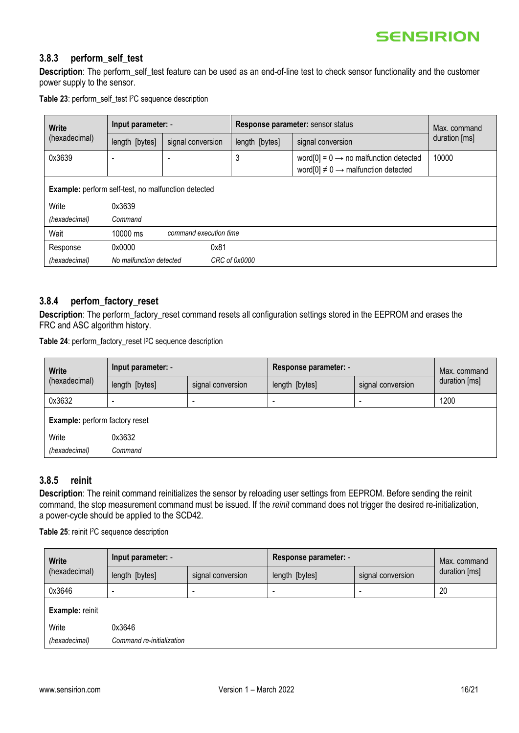#### **3.8.3 perform\_self\_test**

**Description**: The perform\_self\_test feature can be used as an end-of-line test to check sensor functionality and the customer power supply to the sensor.

**Table 23**: perform\_self\_test I <sup>2</sup>C sequence description

| <b>Write</b><br>(hexadecimal)                       | Input parameter: -                 |                   | Response parameter: sensor status |                                                                                                          | Max. command  |
|-----------------------------------------------------|------------------------------------|-------------------|-----------------------------------|----------------------------------------------------------------------------------------------------------|---------------|
|                                                     | length [bytes]                     | signal conversion | length [bytes]                    | signal conversion                                                                                        | duration [ms] |
| 0x3639                                              |                                    |                   | 3                                 | word[0] = $0 \rightarrow$ no malfunction detected<br>word[0] $\neq$ 0 $\rightarrow$ malfunction detected | 10000         |
| Example: perform self-test, no malfunction detected |                                    |                   |                                   |                                                                                                          |               |
| Write                                               | 0x3639                             |                   |                                   |                                                                                                          |               |
| (hexadecimal)                                       | Command                            |                   |                                   |                                                                                                          |               |
| Wait                                                | command execution time<br>10000 ms |                   |                                   |                                                                                                          |               |
| Response                                            | 0x0000                             | 0x81              |                                   |                                                                                                          |               |
| (hexadecimal)                                       | No malfunction detected            |                   | CRC of 0x0000                     |                                                                                                          |               |

### **3.8.4 perfom\_factory\_reset**

**Description**: The perform\_factory\_reset command resets all configuration settings stored in the EEPROM and erases the FRC and ASC algorithm history.

**Table 24**: perform\_factory\_reset I <sup>2</sup>C sequence description

| <b>Write</b><br>(hexadecimal)         | Input parameter: - |                   | Response parameter: - |                   | Max. command  |
|---------------------------------------|--------------------|-------------------|-----------------------|-------------------|---------------|
|                                       | length [bytes]     | signal conversion | length [bytes]        | signal conversion | duration [ms] |
| 0x3632                                |                    |                   |                       |                   | 1200          |
| <b>Example:</b> perform factory reset |                    |                   |                       |                   |               |
| Write                                 | 0x3632             |                   |                       |                   |               |
| (hexadecimal)                         | Command            |                   |                       |                   |               |
|                                       |                    |                   |                       |                   |               |

### **3.8.5 reinit**

**Description**: The reinit command reinitializes the sensor by reloading user settings from EEPROM. Before sending the reinit command, the stop measurement command must be issued. If the *reinit* command does not trigger the desired re-initialization, a power-cycle should be applied to the SCD42.

**Table 25**: reinit I <sup>2</sup>C sequence description

| <b>Write</b><br>(hexadecimal) | Input parameter: -        |                   | Response parameter: - | Max. command             |               |
|-------------------------------|---------------------------|-------------------|-----------------------|--------------------------|---------------|
|                               | length [bytes]            | signal conversion | length [bytes]        | signal conversion        | duration [ms] |
| 0x3646                        | $\overline{\phantom{0}}$  |                   |                       | $\overline{\phantom{0}}$ | 20            |
| Example: reinit               |                           |                   |                       |                          |               |
| Write                         | 0x3646                    |                   |                       |                          |               |
| (hexadecimal)                 | Command re-initialization |                   |                       |                          |               |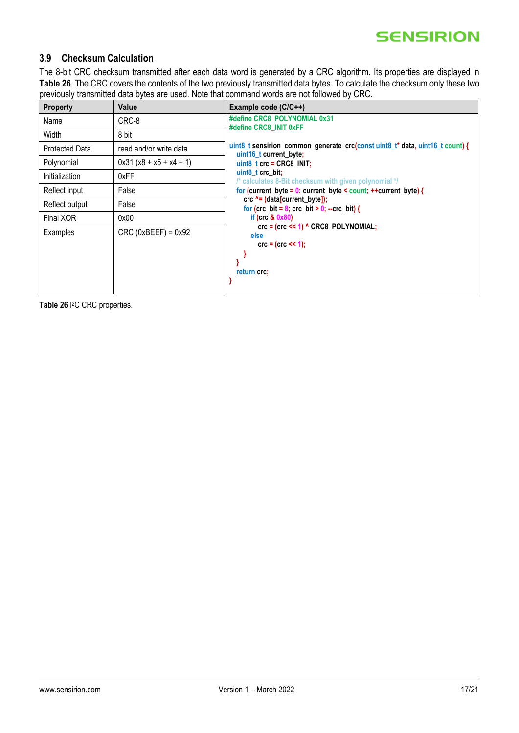# <span id="page-16-0"></span>**3.9 Checksum Calculation**

The 8-bit CRC checksum transmitted after each data word is generated by a CRC algorithm. Its properties are displayed in **[Table 26](#page-16-1)**. The CRC covers the contents of the two previously transmitted data bytes. To calculate the checksum only these two previously transmitted data bytes are used. Note that command words are not followed by CRC.

| <b>Property</b>       | Value                     | Example code (C/C++)                                                                                                                           |  |  |  |  |
|-----------------------|---------------------------|------------------------------------------------------------------------------------------------------------------------------------------------|--|--|--|--|
| Name                  | CRC-8                     | #define CRC8 POLYNOMIAL 0x31                                                                                                                   |  |  |  |  |
| Width                 | 8 bit                     | #define CRC8 INIT 0xFF                                                                                                                         |  |  |  |  |
| <b>Protected Data</b> | read and/or write data    | uint8_t sensirion_common_generate_crc(const uint8_t* data, uint16_t count) {<br>uint16 t current byte;                                         |  |  |  |  |
| Polynomial            | $0x31 (x8 + x5 + x4 + 1)$ | uint8 $t$ crc = CRC8 INIT;                                                                                                                     |  |  |  |  |
| Initialization        | 0xFF                      | uint8 t crc bit;<br>/* calculates 8-Bit checksum with given polynomial */<br>for (current_byte = $0$ ; current_byte < count; ++current_byte) { |  |  |  |  |
| Reflect input         | False                     |                                                                                                                                                |  |  |  |  |
| Reflect output        | False                     | $\text{circ}$ ^= (data[current_byte]);<br>for (crc bit = $8$ ; crc bit > 0; --crc bit) {                                                       |  |  |  |  |
| Final XOR             | 0x00                      | if ( $\csc 8.0x80$ )                                                                                                                           |  |  |  |  |
| Examples              | $CRC$ (0xBEEF) = 0x92     | $\text{crc} = (\text{crc} \leq 1)$ ^ CRC8 POLYNOMIAL;<br>else<br>$\text{crc} = (\text{crc} << 1);$<br>return crc;                              |  |  |  |  |

<span id="page-16-1"></span>**Table 26** I 2C CRC properties.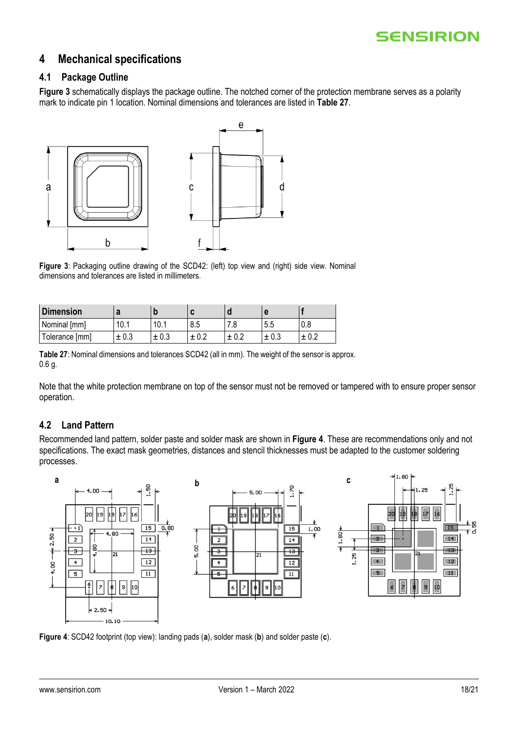# <span id="page-17-0"></span>**4 Mechanical specifications**

### <span id="page-17-1"></span>**4.1 Package Outline**

[Figure 3](#page-17-3) schematically displays the package outline. The notched corner of the protection membrane serves as a polarity mark to indicate pin 1 location. Nominal dimensions and tolerances are listed in **[Table 27](#page-17-4)**.



<span id="page-17-3"></span>**Figure 3**: Packaging outline drawing of the SCD42: (left) top view and (right) side view. Nominal dimensions and tolerances are listed in millimeters.

| <b>Dimension</b> |           |           | ∼     |           |           |     |
|------------------|-----------|-----------|-------|-----------|-----------|-----|
| Nominal [mm]     | 10.1      | 10.1      | 8.5   | . .o      | 5.5       | v.o |
| Tolerance [mm]   | $\pm 0.3$ | $\pm 0.3$ | ± 0.2 | $\pm 0.2$ | $\pm 0.3$ | 土   |

<span id="page-17-4"></span>**Table 27**: Nominal dimensions and tolerances SCD42 (all in mm). The weight of the sensor is approx. 0.6 g.

Note that the white protection membrane on top of the sensor must not be removed or tampered with to ensure proper sensor operation.

# <span id="page-17-2"></span>**4.2 Land Pattern**

Recommended land pattern, solder paste and solder mask are shown in **[Figure 4](#page-17-5)**. These are recommendations only and not specifications. The exact mask geometries, distances and stencil thicknesses must be adapted to the customer soldering processes.



<span id="page-17-5"></span>**Figure 4**: SCD42 footprint (top view): landing pads (**a**), solder mask (**b**) and solder paste (**c**).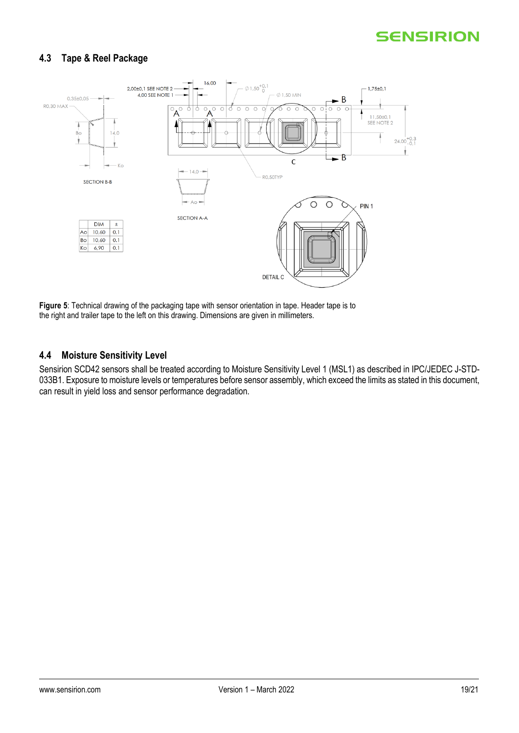# <span id="page-18-0"></span>**4.3 Tape & Reel Package**



**Figure 5**: Technical drawing of the packaging tape with sensor orientation in tape. Header tape is to the right and trailer tape to the left on this drawing. Dimensions are given in millimeters.

### <span id="page-18-1"></span>**4.4 Moisture Sensitivity Level**

Sensirion SCD42 sensors shall be treated according to Moisture Sensitivity Level 1 (MSL1) as described in IPC/JEDEC J-STD-033B1. Exposure to moisture levels or temperatures before sensor assembly, which exceed the limits as stated in this document, can result in yield loss and sensor performance degradation.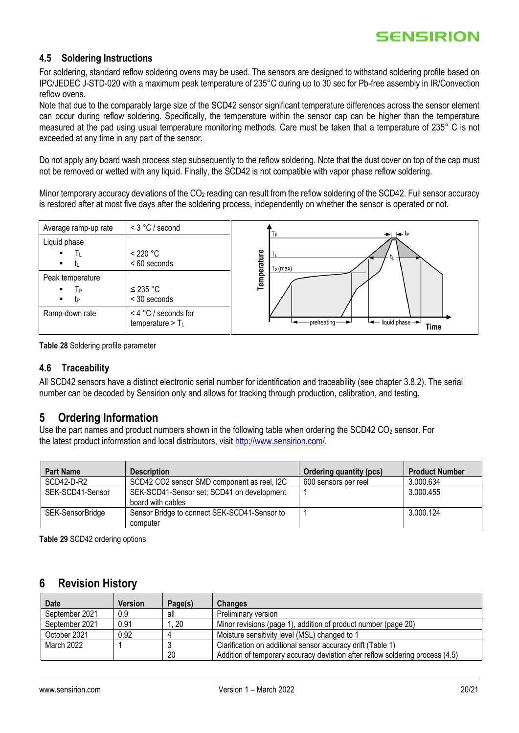### <span id="page-19-1"></span>**4.5 Soldering Instructions**

For soldering, standard reflow soldering ovens may be used. The sensors are designed to withstand soldering profile based on IPC/JEDEC J-STD-020 with a maximum peak temperature of 235°C during up to 30 sec for Pb-free assembly in IR/Convection reflow ovens.

Note that due to the comparably large size of the SCD42 sensor significant temperature differences across the sensor element can occur during reflow soldering. Specifically, the temperature within the sensor cap can be higher than the temperature measured at the pad using usual temperature monitoring methods. Care must be taken that a temperature of 235° C is not exceeded at any time in any part of the sensor.

Do not apply any board wash process step subsequently to the reflow soldering. Note that the dust cover on top of the cap must not be removed or wetted with any liquid. Finally, the SCD42 is not compatible with vapor phase reflow soldering.

Minor temporary accuracy deviations of the  $CO<sub>2</sub>$  reading can result from the reflow soldering of the SCD42. Full sensor accuracy is restored after at most five days after the soldering process, independently on whether the sensor is operated or not.





### <span id="page-19-2"></span>**4.6 Traceability**

All SCD42 sensors have a distinct electronic serial number for identification and traceability (see chapter [3.8.2\)](#page-14-2). The serial number can be decoded by Sensirion only and allows for tracking through production, calibration, and testing.

# <span id="page-19-0"></span>**5 Ordering Information**

Use the part names and product numbers shown in the following table when ordering the SCD42 CO<sub>2</sub> sensor. For the latest product information and local distributors, visit [http://www.sensirion.com/.](http://www.sensirion.com/)

| <b>Part Name</b> | <b>Description</b>                                              | <b>Ordering quantity (pcs)</b> | <b>Product Number</b> |
|------------------|-----------------------------------------------------------------|--------------------------------|-----------------------|
| SCD42-D-R2       | SCD42 CO2 sensor SMD component as reel, I2C                     | 600 sensors per reel           | 3.000.634             |
| SEK-SCD41-Sensor | SEK-SCD41-Sensor set; SCD41 on development<br>board with cables |                                | 3.000.455             |
| SEK-SensorBridge | Sensor Bridge to connect SEK-SCD41-Sensor to<br>computer        |                                | 3.000.124             |

**Table 29** SCD42 ordering options

# <span id="page-19-3"></span>**6 Revision History**

| <b>Date</b>    | <b>Version</b> | Page(s) | <b>Changes</b>                                                                |
|----------------|----------------|---------|-------------------------------------------------------------------------------|
| September 2021 | 0.9            | all     | Preliminary version                                                           |
| September 2021 | 0.91           | . 20    | Minor revisions (page 1), addition of product number (page 20)                |
| October 2021   | 0.92           |         | Moisture sensitivity level (MSL) changed to 1                                 |
| March 2022     |                |         | Clarification on additional sensor accuracy drift (Table 1)                   |
|                |                | 20      | Addition of temporary accuracy deviation after reflow soldering process (4.5) |